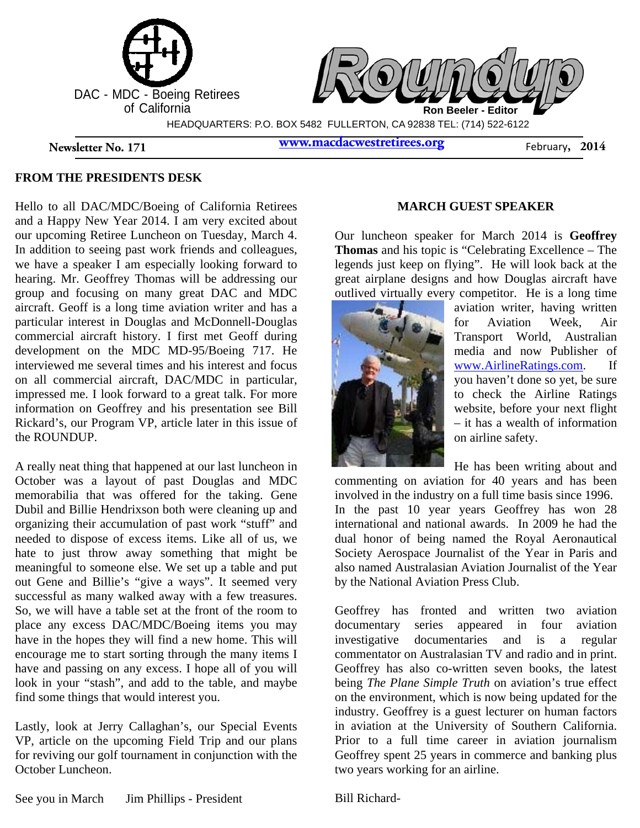

### **FROM THE PRESIDENTS DESK**

Hello to all DAC/MDC/Boeing of California Retirees and a Happy New Year 2014. I am very excited about our upcoming Retiree Luncheon on Tuesday, March 4. In addition to seeing past work friends and colleagues, we have a speaker I am especially looking forward to hearing. Mr. Geoffrey Thomas will be addressing our group and focusing on many great DAC and MDC aircraft. Geoff is a long time aviation writer and has a particular interest in Douglas and McDonnell-Douglas commercial aircraft history. I first met Geoff during development on the MDC MD-95/Boeing 717. He interviewed me several times and his interest and focus on all commercial aircraft, DAC/MDC in particular, impressed me. I look forward to a great talk. For more information on Geoffrey and his presentation see Bill Rickard's, our Program VP, article later in this issue of the ROUNDUP.

A really neat thing that happened at our last luncheon in October was a layout of past Douglas and MDC memorabilia that was offered for the taking. Gene Dubil and Billie Hendrixson both were cleaning up and organizing their accumulation of past work "stuff" and needed to dispose of excess items. Like all of us, we hate to just throw away something that might be meaningful to someone else. We set up a table and put out Gene and Billie's "give a ways". It seemed very successful as many walked away with a few treasures. So, we will have a table set at the front of the room to place any excess DAC/MDC/Boeing items you may have in the hopes they will find a new home. This will encourage me to start sorting through the many items I have and passing on any excess. I hope all of you will look in your "stash", and add to the table, and maybe find some things that would interest you.

Lastly, look at Jerry Callaghan's, our Special Events VP, article on the upcoming Field Trip and our plans for reviving our golf tournament in conjunction with the October Luncheon.

#### **MARCH GUEST SPEAKER**

Our luncheon speaker for March 2014 is **Geoffrey Thomas** and his topic is "Celebrating Excellence – The legends just keep on flying". He will look back at the great airplane designs and how Douglas aircraft have outlived virtually every competitor. He is a long time



aviation writer, having written for Aviation Week, Air Transport World, Australian media and now Publisher of www.AirlineRatings.com. If you haven't done so yet, be sure to check the Airline Ratings website, before your next flight – it has a wealth of information on airline safety.

He has been writing about and

commenting on aviation for 40 years and has been involved in the industry on a full time basis since 1996. In the past 10 year years Geoffrey has won 28 international and national awards. In 2009 he had the dual honor of being named the Royal Aeronautical Society Aerospace Journalist of the Year in Paris and also named Australasian Aviation Journalist of the Year by the National Aviation Press Club.

Geoffrey has fronted and written two aviation documentary series appeared in four aviation investigative documentaries and is a regular commentator on Australasian TV and radio and in print. Geoffrey has also co-written seven books, the latest being *The Plane Simple Truth* on aviation's true effect on the environment, which is now being updated for the industry. Geoffrey is a guest lecturer on human factors in aviation at the University of Southern California. Prior to a full time career in aviation journalism Geoffrey spent 25 years in commerce and banking plus two years working for an airline.

Bill Richard-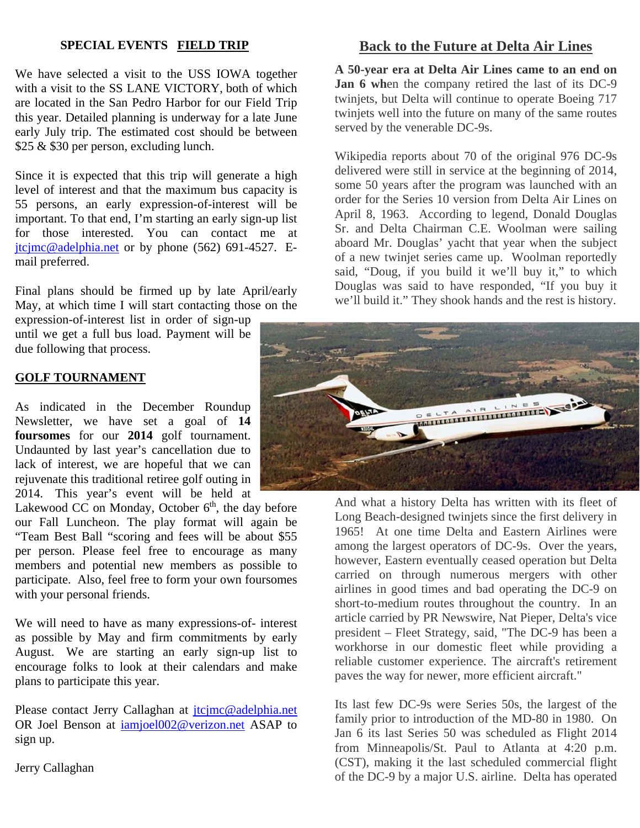## **SPECIAL EVENTS FIELD TRIP**

We have selected a visit to the USS IOWA together with a visit to the SS LANE VICTORY, both of which are located in the San Pedro Harbor for our Field Trip this year. Detailed planning is underway for a late June early July trip. The estimated cost should be between \$25 & \$30 per person, excluding lunch.

Since it is expected that this trip will generate a high level of interest and that the maximum bus capacity is 55 persons, an early expression-of-interest will be important. To that end, I'm starting an early sign-up list for those interested. You can contact me at jtcjmc@adelphia.net or by phone (562) 691-4527. Email preferred.

Final plans should be firmed up by late April/early May, at which time I will start contacting those on the

expression-of-interest list in order of sign-up until we get a full bus load. Payment will be due following that process.

### **GOLF TOURNAMENT**

As indicated in the December Roundup Newsletter, we have set a goal of **14 foursomes** for our **2014** golf tournament. Undaunted by last year's cancellation due to lack of interest, we are hopeful that we can rejuvenate this traditional retiree golf outing in 2014. This year's event will be held at

Lakewood CC on Monday, October  $6<sup>th</sup>$ , the day before our Fall Luncheon. The play format will again be "Team Best Ball "scoring and fees will be about \$55 per person. Please feel free to encourage as many members and potential new members as possible to participate. Also, feel free to form your own foursomes with your personal friends.

We will need to have as many expressions-of- interest as possible by May and firm commitments by early August. We are starting an early sign-up list to encourage folks to look at their calendars and make plans to participate this year.

Please contact Jerry Callaghan at *jtcjmc@adelphia.net* OR Joel Benson at iamjoel002@verizon.net ASAP to sign up.

Jerry Callaghan

## **Back to the Future at Delta Air Lines**

**A 50-year era at Delta Air Lines came to an end on Jan 6 wh**en the company retired the last of its DC-9 twinjets, but Delta will continue to operate Boeing 717 twinjets well into the future on many of the same routes served by the venerable DC-9s.

Wikipedia reports about 70 of the original 976 DC-9s delivered were still in service at the beginning of 2014, some 50 years after the program was launched with an order for the Series 10 version from Delta Air Lines on April 8, 1963. According to legend, Donald Douglas Sr. and Delta Chairman C.E. Woolman were sailing aboard Mr. Douglas' yacht that year when the subject of a new twinjet series came up. Woolman reportedly said, "Doug, if you build it we'll buy it," to which Douglas was said to have responded, "If you buy it we'll build it." They shook hands and the rest is history.



And what a history Delta has written with its fleet of Long Beach-designed twinjets since the first delivery in 1965! At one time Delta and Eastern Airlines were among the largest operators of DC-9s. Over the years, however, Eastern eventually ceased operation but Delta carried on through numerous mergers with other airlines in good times and bad operating the DC-9 on short-to-medium routes throughout the country. In an article carried by PR Newswire, Nat Pieper, Delta's vice president – Fleet Strategy, said, "The DC-9 has been a workhorse in our domestic fleet while providing a reliable customer experience. The aircraft's retirement paves the way for newer, more efficient aircraft."

Its last few DC-9s were Series 50s, the largest of the family prior to introduction of the MD-80 in 1980. On Jan 6 its last Series 50 was scheduled as Flight 2014 from Minneapolis/St. Paul to Atlanta at 4:20 p.m. (CST), making it the last scheduled commercial flight of the DC-9 by a major U.S. airline. Delta has operated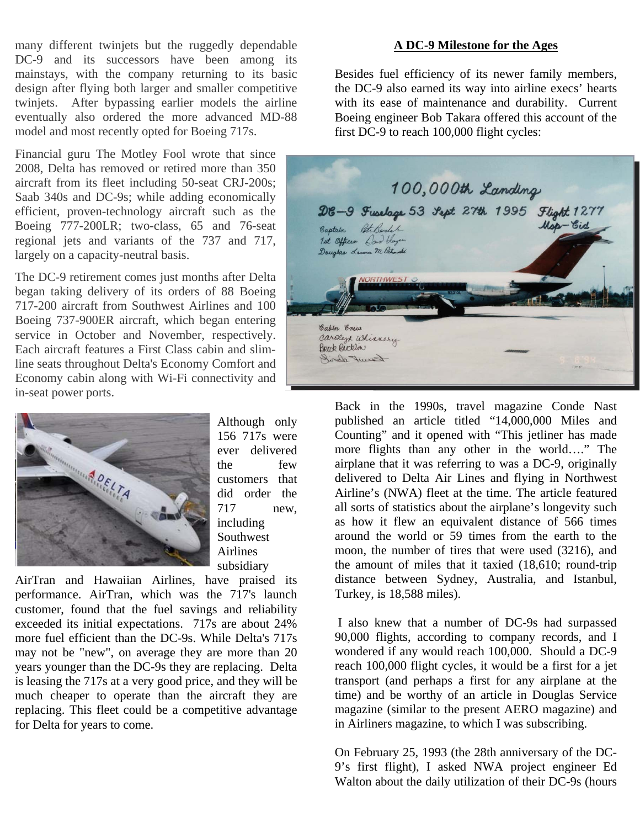many different twinjets but the ruggedly dependable DC-9 and its successors have been among its mainstays, with the company returning to its basic design after flying both larger and smaller competitive twinjets. After bypassing earlier models the airline eventually also ordered the more advanced MD-88 model and most recently opted for Boeing 717s.

Financial guru The Motley Fool wrote that since 2008, Delta has removed or retired more than 350 aircraft from its fleet including 50-seat CRJ-200s; Saab 340s and DC-9s; while adding economically efficient, proven-technology aircraft such as the Boeing 777-200LR; two-class, 65 and 76-seat regional jets and variants of the 737 and 717, largely on a capacity-neutral basis.

The DC-9 retirement comes just months after Delta began taking delivery of its orders of 88 Boeing 717-200 aircraft from Southwest Airlines and 100 Boeing 737-900ER aircraft, which began entering service in October and November, respectively. Each aircraft features a First Class cabin and slimline seats throughout Delta's Economy Comfort and Economy cabin along with Wi-Fi connectivity and in-seat power ports.



Although only 156 717s were ever delivered the few customers that did order the 717 new, including Southwest Airlines subsidiary

AirTran and Hawaiian Airlines, have praised its performance. AirTran, which was the 717's launch customer, found that the fuel savings and reliability exceeded its initial expectations. 717s are about 24% more fuel efficient than the DC-9s. While Delta's 717s may not be "new", on average they are more than 20 years younger than the DC-9s they are replacing. Delta is leasing the 717s at a very good price, and they will be much cheaper to operate than the aircraft they are replacing. This fleet could be a competitive advantage for Delta for years to come.

#### **A DC-9 Milestone for the Ages**

Besides fuel efficiency of its newer family members, the DC-9 also earned its way into airline execs' hearts with its ease of maintenance and durability. Current Boeing engineer Bob Takara offered this account of the first DC-9 to reach 100,000 flight cycles:

100,000th Landing DE-9 Fuselage 53 Sept 27th 1995 Flight 1277 Mar - Cid Pete Bendal Captain 1st Officer Low Hay Douglas Laurence M Patromski **RTHWEST** Cabin Enew carden whinnery Break Bucklin Karent Samit

Back in the 1990s, travel magazine Conde Nast published an article titled "14,000,000 Miles and Counting" and it opened with "This jetliner has made more flights than any other in the world…." The airplane that it was referring to was a DC-9, originally delivered to Delta Air Lines and flying in Northwest Airline's (NWA) fleet at the time. The article featured all sorts of statistics about the airplane's longevity such as how it flew an equivalent distance of 566 times around the world or 59 times from the earth to the moon, the number of tires that were used (3216), and the amount of miles that it taxied (18,610; round-trip distance between Sydney, Australia, and Istanbul, Turkey, is 18,588 miles).

 I also knew that a number of DC-9s had surpassed 90,000 flights, according to company records, and I wondered if any would reach 100,000. Should a DC-9 reach 100,000 flight cycles, it would be a first for a jet transport (and perhaps a first for any airplane at the time) and be worthy of an article in Douglas Service magazine (similar to the present AERO magazine) and in Airliners magazine, to which I was subscribing.

On February 25, 1993 (the 28th anniversary of the DC-9's first flight), I asked NWA project engineer Ed Walton about the daily utilization of their DC-9s (hours